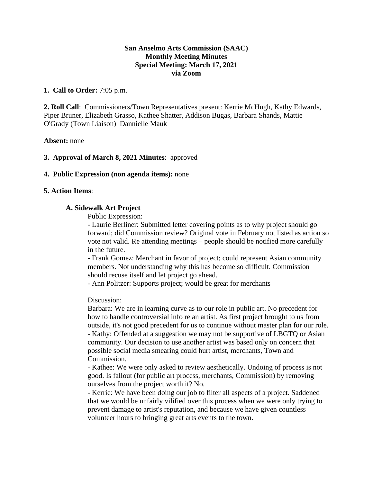# **San Anselmo Arts Commission (SAAC) Monthly Meeting Minutes Special Meeting: March 17, 2021 via Zoom**

# **1. Call to Order:** 7:05 p.m.

**2. Roll Call**: Commissioners/Town Representatives present: Kerrie McHugh, Kathy Edwards, Piper Bruner, Elizabeth Grasso, Kathee Shatter, Addison Bugas, Barbara Shands, Mattie O'Grady (Town Liaison) Dannielle Mauk

#### **Absent:** none

## **3. Approval of March 8, 2021 Minutes**: approved

#### **4. Public Expression (non agenda items):** none

#### **5. Action Items**:

## **A. Sidewalk Art Project**

Public Expression:

- Laurie Berliner: Submitted letter covering points as to why project should go forward; did Commission review? Original vote in February not listed as action so vote not valid. Re attending meetings – people should be notified more carefully in the future.

- Frank Gomez: Merchant in favor of project; could represent Asian community members. Not understanding why this has become so difficult. Commission should recuse itself and let project go ahead.

- Ann Politzer: Supports project; would be great for merchants

Discussion:

Barbara: We are in learning curve as to our role in public art. No precedent for how to handle controversial info re an artist. As first project brought to us from outside, it's not good precedent for us to continue without master plan for our role. - Kathy: Offended at a suggestion we may not be supportive of LBGTQ or Asian community. Our decision to use another artist was based only on concern that possible social media smearing could hurt artist, merchants, Town and Commission.

- Kathee: We were only asked to review aesthetically. Undoing of process is not good. Is fallout (for public art process, merchants, Commission) by removing ourselves from the project worth it? No.

- Kerrie: We have been doing our job to filter all aspects of a project. Saddened that we would be unfairly vilified over this process when we were only trying to prevent damage to artist's reputation, and because we have given countless volunteer hours to bringing great arts events to the town.